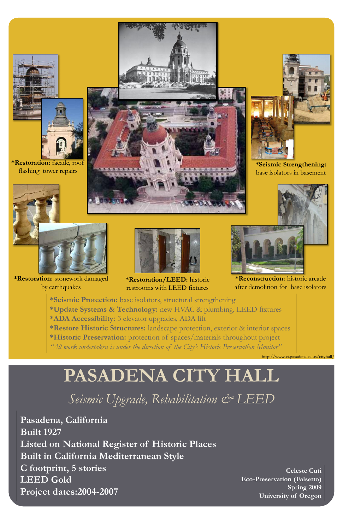# **PASADENA CITY HALL**

## *Seismic Upgrade, Rehabilitation & LEED*

**Celeste Cuti Eco-Preservation (Falsetto) Spring 2009 University of Oregon**

**Pasadena, California Built 1927 Listed on National Register of Historic Places Built in California Mediterranean Style C footprint, 5 stories LEED Gold Project dates:2004-2007**



**\*Reconstruction:** historic arcade after demolition for base isolators

**\*Seismic Strengthening:**  base isolators in basement

**\*Restoration:** façade, roof flashing tower repairs



**\*Restoration:** stonework damaged by earthquakes



**\*Restoration/LEED:** historic restrooms with LEED fixtures

**\*Seismic Protection:** base isolators, structural strengthening **\*Update Systems & Technology:** new HVAC & plumbing, LEED fixtures **\*ADA Accessibility:** 3 elevator upgrades, ADA lift **\*Restore Historic Structures:** landscape protection, exterior & interior spaces

**\*Historic Preservation:** protection of spaces/materials throughout project

*"All work undertaken is under the direction of the City's Historic Preservation Monitor"*

http://www.ci.pasadena.ca.us/cityhall/